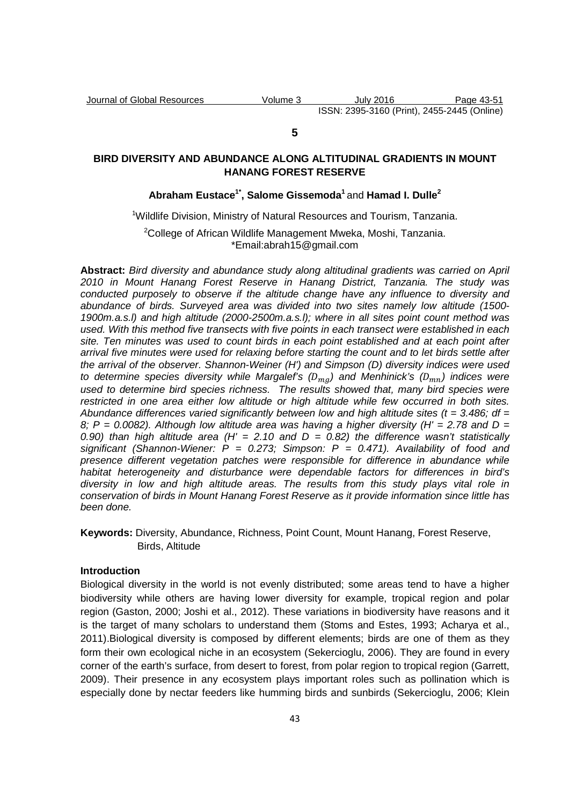## **5**

# **BIRD DIVERSITY AND ABUNDANCE ALONG ALTITUDINAL GRADIENTS IN MOUNT HANANG FOREST RESERVE**

## **Abraham Eustace1\*, Salome Gissemoda<sup>1</sup>**and **Hamad I. Dulle<sup>2</sup>**

## <sup>1</sup>Wildlife Division, Ministry of Natural Resources and Tourism, Tanzania.

<sup>2</sup>College of African Wildlife Management Mweka, Moshi, Tanzania. \*Email:abrah15@gmail.com

**Abstract:** Bird diversity and abundance study along altitudinal gradients was carried on April 2010 in Mount Hanang Forest Reserve in Hanang District, Tanzania. The study was conducted purposely to observe if the altitude change have any influence to diversity and abundance of birds. Surveyed area was divided into two sites namely low altitude (1500- 1900m.a.s.l) and high altitude (2000-2500m.a.s.l); where in all sites point count method was used. With this method five transects with five points in each transect were established in each site. Ten minutes was used to count birds in each point established and at each point after arrival five minutes were used for relaxing before starting the count and to let birds settle after the arrival of the observer. Shannon-Weiner (H') and Simpson (D) diversity indices were used to determine species diversity while Margalef's ( $D_{mg}$ ) and Menhinick's ( $D_{mn}$ ) indices were used to determine bird species richness. The results showed that, many bird species were restricted in one area either low altitude or high altitude while few occurred in both sites. Abundance differences varied significantly between low and high altitude sites ( $t = 3.486$ ; df = 8;  $P = 0.0082$ ). Although low altitude area was having a higher diversity (H' = 2.78 and D = 0.90) than high altitude area (H' = 2.10 and  $D = 0.82$ ) the difference wasn't statistically significant (Shannon-Wiener:  $P = 0.273$ ; Simpson:  $P = 0.471$ ). Availability of food and presence different vegetation patches were responsible for difference in abundance while habitat heterogeneity and disturbance were dependable factors for differences in bird's diversity in low and high altitude areas. The results from this study plays vital role in conservation of birds in Mount Hanang Forest Reserve as it provide information since little has been done.

**Keywords:** Diversity, Abundance, Richness, Point Count, Mount Hanang, Forest Reserve, Birds, Altitude

## **Introduction**

Biological diversity in the world is not evenly distributed; some areas tend to have a higher biodiversity while others are having lower diversity for example, tropical region and polar region (Gaston, 2000; Joshi et al., 2012). These variations in biodiversity have reasons and it is the target of many scholars to understand them (Stoms and Estes, 1993; Acharya et al., 2011).Biological diversity is composed by different elements; birds are one of them as they form their own ecological niche in an ecosystem (Sekercioglu, 2006). They are found in every corner of the earth's surface, from desert to forest, from polar region to tropical region (Garrett, 2009). Their presence in any ecosystem plays important roles such as pollination which is especially done by nectar feeders like humming birds and sunbirds (Sekercioglu, 2006; Klein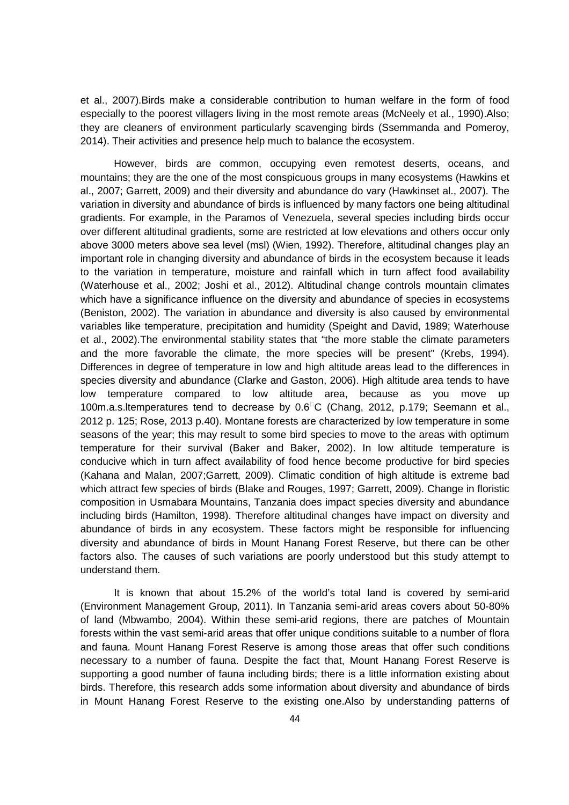et al., 2007).Birds make a considerable contribution to human welfare in the form of food especially to the poorest villagers living in the most remote areas (McNeely et al., 1990).Also; they are cleaners of environment particularly scavenging birds (Ssemmanda and Pomeroy, 2014). Their activities and presence help much to balance the ecosystem.

However, birds are common, occupying even remotest deserts, oceans, and mountains; they are the one of the most conspicuous groups in many ecosystems (Hawkins et al., 2007; Garrett, 2009) and their diversity and abundance do vary (Hawkinset al., 2007). The variation in diversity and abundance of birds is influenced by many factors one being altitudinal gradients. For example, in the Paramos of Venezuela, several species including birds occur over different altitudinal gradients, some are restricted at low elevations and others occur only above 3000 meters above sea level (msl) (Wien, 1992). Therefore, altitudinal changes play an important role in changing diversity and abundance of birds in the ecosystem because it leads to the variation in temperature, moisture and rainfall which in turn affect food availability (Waterhouse et al., 2002; Joshi et al., 2012). Altitudinal change controls mountain climates which have a significance influence on the diversity and abundance of species in ecosystems (Beniston, 2002). The variation in abundance and diversity is also caused by environmental variables like temperature, precipitation and humidity (Speight and David, 1989; Waterhouse et al., 2002).The environmental stability states that "the more stable the climate parameters and the more favorable the climate, the more species will be present" (Krebs, 1994). Differences in degree of temperature in low and high altitude areas lead to the differences in species diversity and abundance (Clarke and Gaston, 2006). High altitude area tends to have low temperature compared to low altitude area, because as you move up 100m.a.s.ltemperatures tend to decrease by 0.6C (Chang, 2012, p.179; Seemann et al., 2012 p. 125; Rose, 2013 p.40). Montane forests are characterized by low temperature in some seasons of the year; this may result to some bird species to move to the areas with optimum temperature for their survival (Baker and Baker, 2002). In low altitude temperature is conducive which in turn affect availability of food hence become productive for bird species (Kahana and Malan, 2007;Garrett, 2009). Climatic condition of high altitude is extreme bad which attract few species of birds (Blake and Rouges, 1997; Garrett, 2009). Change in floristic composition in Usmabara Mountains, Tanzania does impact species diversity and abundance including birds (Hamilton, 1998). Therefore altitudinal changes have impact on diversity and abundance of birds in any ecosystem. These factors might be responsible for influencing diversity and abundance of birds in Mount Hanang Forest Reserve, but there can be other factors also. The causes of such variations are poorly understood but this study attempt to understand them.

It is known that about 15.2% of the world's total land is covered by semi-arid (Environment Management Group, 2011). In Tanzania semi-arid areas covers about 50-80% of land (Mbwambo, 2004). Within these semi-arid regions, there are patches of Mountain forests within the vast semi-arid areas that offer unique conditions suitable to a number of flora and fauna. Mount Hanang Forest Reserve is among those areas that offer such conditions necessary to a number of fauna. Despite the fact that, Mount Hanang Forest Reserve is supporting a good number of fauna including birds; there is a little information existing about birds. Therefore, this research adds some information about diversity and abundance of birds in Mount Hanang Forest Reserve to the existing one.Also by understanding patterns of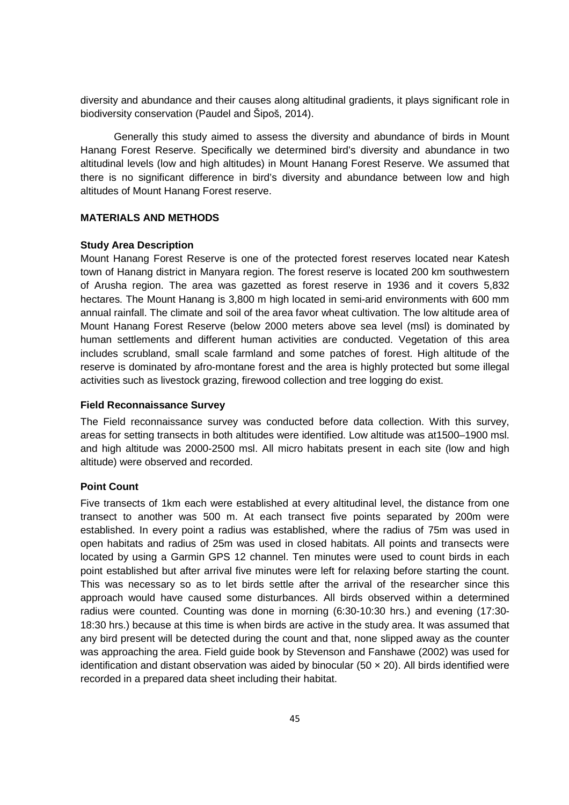diversity and abundance and their causes along altitudinal gradients, it plays significant role in biodiversity conservation (Paudel and Šipoš, 2014).

Generally this study aimed to assess the diversity and abundance of birds in Mount Hanang Forest Reserve. Specifically we determined bird's diversity and abundance in two altitudinal levels (low and high altitudes) in Mount Hanang Forest Reserve. We assumed that there is no significant difference in bird's diversity and abundance between low and high altitudes of Mount Hanang Forest reserve.

#### **MATERIALS AND METHODS**

#### **Study Area Description**

Mount Hanang Forest Reserve is one of the protected forest reserves located near Katesh town of Hanang district in Manyara region. The forest reserve is located 200 km southwestern of Arusha region. The area was gazetted as forest reserve in 1936 and it covers 5,832 hectares. The Mount Hanang is 3,800 m high located in semi-arid environments with 600 mm annual rainfall. The climate and soil of the area favor wheat cultivation. The low altitude area of Mount Hanang Forest Reserve (below 2000 meters above sea level (msl) is dominated by human settlements and different human activities are conducted. Vegetation of this area includes scrubland, small scale farmland and some patches of forest. High altitude of the reserve is dominated by afro-montane forest and the area is highly protected but some illegal activities such as livestock grazing, firewood collection and tree logging do exist.

#### **Field Reconnaissance Survey**

The Field reconnaissance survey was conducted before data collection. With this survey, areas for setting transects in both altitudes were identified. Low altitude was at1500–1900 msl. and high altitude was 2000-2500 msl. All micro habitats present in each site (low and high altitude) were observed and recorded.

## **Point Count**

Five transects of 1km each were established at every altitudinal level, the distance from one transect to another was 500 m. At each transect five points separated by 200m were established. In every point a radius was established, where the radius of 75m was used in open habitats and radius of 25m was used in closed habitats. All points and transects were located by using a Garmin GPS 12 channel. Ten minutes were used to count birds in each point established but after arrival five minutes were left for relaxing before starting the count. This was necessary so as to let birds settle after the arrival of the researcher since this approach would have caused some disturbances. All birds observed within a determined radius were counted. Counting was done in morning (6:30-10:30 hrs.) and evening (17:30- 18:30 hrs.) because at this time is when birds are active in the study area. It was assumed that any bird present will be detected during the count and that, none slipped away as the counter was approaching the area. Field guide book by Stevenson and Fanshawe (2002) was used for identification and distant observation was aided by binocular (50  $\times$  20). All birds identified were recorded in a prepared data sheet including their habitat.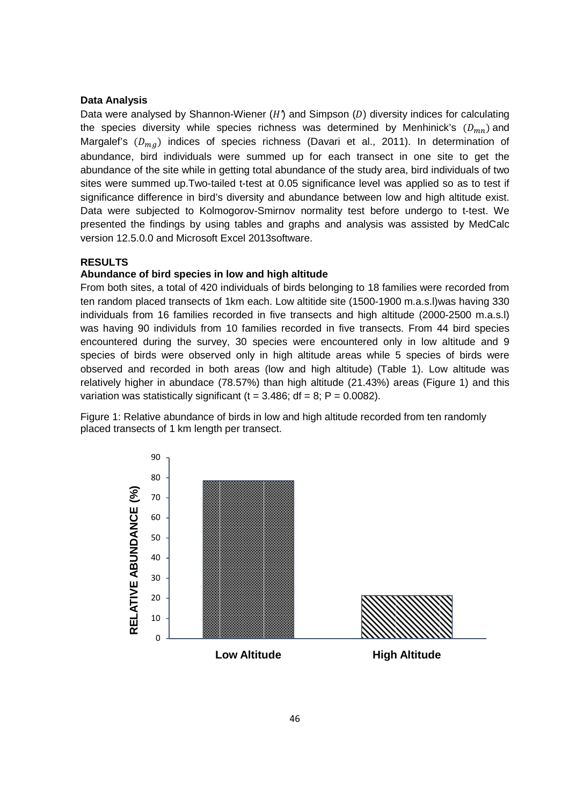## **Data Analysis**

Data were analysed by Shannon-Wiener (*H*) and Simpson (*D*) diversity indices for calculating the species diversity while species richness was determined by Menhinick's  $(D_{mn})$  and Margalef's  $(D_{mg})$  indices of species richness (Davari et al., 2011). In determination of abundance, bird individuals were summed up for each transect in one site to get the abundance of the site while in getting total abundance of the study area, bird individuals of two sites were summed up.Two-tailed t-test at 0.05 significance level was applied so as to test if significance difference in bird's diversity and abundance between low and high altitude exist. Data were subjected to Kolmogorov-Smirnov normality test before undergo to t-test. We presented the findings by using tables and graphs and analysis was assisted by MedCalc version 12.5.0.0 and Microsoft Excel 2013software.

## **RESULTS**

#### **Abundance of bird species in low and high altitude**

From both sites, a total of 420 individuals of birds belonging to 18 families were recorded from ten random placed transects of 1km each. Low altitide site (1500-1900 m.a.s.l)was having 330 individuals from 16 families recorded in five transects and high altitude (2000-2500 m.a.s.l) was having 90 individuls from 10 families recorded in five transects. From 44 bird species encountered during the survey, 30 species were encountered only in low altitude and 9 species of birds were observed only in high altitude areas while 5 species of birds were observed and recorded in both areas (low and high altitude) (Table 1). Low altitude was relatively higher in abundace (78.57%) than high altitude (21.43%) areas (Figure 1) and this variation was statistically significant ( $t = 3.486$ ; df = 8; P = 0.0082).

Figure 1: Relative abundance of birds in low and high altitude recorded from ten randomly placed transects of 1 km length per transect.

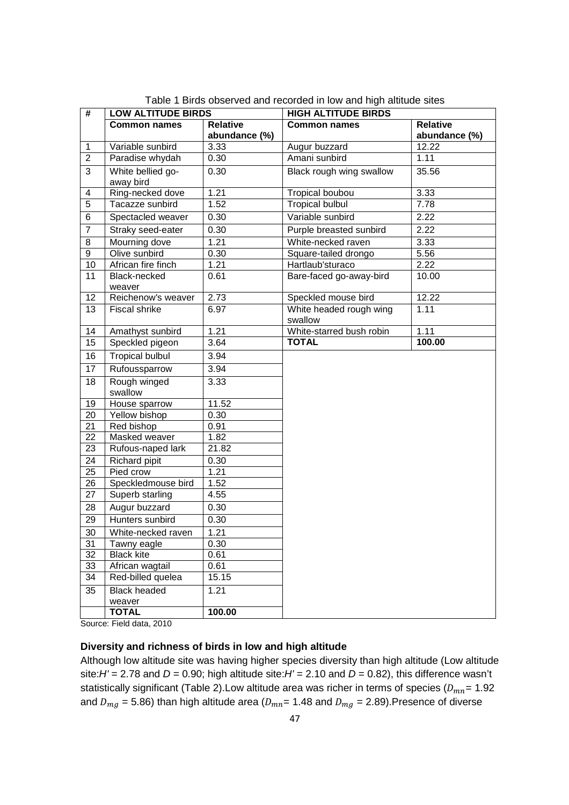| #                       | <b>LOW ALTITUDE BIRDS</b> |                    | <b>HIGH ALTITUDE BIRDS</b>         |                    |
|-------------------------|---------------------------|--------------------|------------------------------------|--------------------|
|                         | <b>Common names</b>       | <b>Relative</b>    | <b>Common names</b>                | <b>Relative</b>    |
|                         |                           | abundance (%)      |                                    | abundance (%)      |
| $\mathbf{1}$            | Variable sunbird          | 3.33               | Augur buzzard                      | $\overline{12.22}$ |
| $\overline{2}$          | Paradise whydah           | 0.30               | Amani sunbird                      | 1.11               |
| 3                       | White bellied go-         | 0.30               | Black rough wing swallow           | 35.56              |
|                         | away bird                 |                    |                                    |                    |
| $\overline{\mathbf{4}}$ | Ring-necked dove          | 1.21               | Tropical boubou                    | 3.33               |
| 5                       | Tacazze sunbird           | 1.52               | <b>Tropical bulbul</b>             | 7.78               |
| 6                       | Spectacled weaver         | 0.30               | Variable sunbird                   | 2.22               |
| $\overline{7}$          | Straky seed-eater         | 0.30               | Purple breasted sunbird            | 2.22               |
| 8                       | Mourning dove             | 1.21               | White-necked raven                 | 3.33               |
| 9                       | Olive sunbird             | 0.30               | Square-tailed drongo               | 5.56               |
| 10                      | African fire finch        | 1.21               | Hartlaub'sturaco                   | 2.22               |
| 11                      | Black-necked<br>weaver    | 0.61               | Bare-faced go-away-bird            | 10.00              |
| 12                      | Reichenow's weaver        | 2.73               | Speckled mouse bird                | 12.22              |
| 13                      | Fiscal shrike             | 6.97               | White headed rough wing<br>swallow | 1.11               |
| 14                      | Amathyst sunbird          | 1.21               | White-starred bush robin           | 1.11               |
| 15                      | Speckled pigeon           | 3.64               | <b>TOTAL</b>                       | 100.00             |
| 16                      | <b>Tropical bulbul</b>    | 3.94               |                                    |                    |
| 17                      | Rufoussparrow             | 3.94               |                                    |                    |
| 18                      | Rough winged              | 3.33               |                                    |                    |
|                         | swallow                   |                    |                                    |                    |
| 19                      | House sparrow             | 11.52              |                                    |                    |
| 20                      | Yellow bishop             | 0.30               |                                    |                    |
| 21                      | Red bishop                | 0.91               |                                    |                    |
| 22                      | Masked weaver             | 1.82               |                                    |                    |
| 23                      | Rufous-naped lark         | 21.82              |                                    |                    |
| 24                      | Richard pipit             | 0.30               |                                    |                    |
| 25                      | Pied crow                 | 1.21               |                                    |                    |
| 26                      | Speckledmouse bird        | 1.52               |                                    |                    |
| 27                      | Superb starling           | 4.55               |                                    |                    |
| 28                      | Augur buzzard             | 0.30               |                                    |                    |
| 29                      | Hunters sunbird           | 0.30               |                                    |                    |
| 30                      | White-necked raven        | $\overline{1}$ .21 |                                    |                    |
| 31                      | Tawny eagle               | 0.30               |                                    |                    |
| 32                      | <b>Black kite</b>         | 0.61               |                                    |                    |
| 33                      | African wagtail           | 0.61               |                                    |                    |
| $\overline{34}$         | Red-billed quelea         | 15.15              |                                    |                    |
| 35                      | <b>Black headed</b>       | 1.21               |                                    |                    |
|                         | weaver                    |                    |                                    |                    |
|                         | <b>TOTAL</b>              | 100.00             |                                    |                    |

Table 1 Birds observed and recorded in low and high altitude sites

Source: Field data, 2010

## **Diversity and richness of birds in low and high altitude**

Although low altitude site was having higher species diversity than high altitude (Low altitude site: $H'$  = 2.78 and  $D$  = 0.90; high altitude site: $H'$  = 2.10 and  $D$  = 0.82), this difference wasn't statistically significant (Table 2).Low altitude area was richer in terms of species ( $D_{mn}$ = 1.92 and  $D_{mg}$  = 5.86) than high altitude area ( $D_{mn}$ = 1.48 and  $D_{mg}$  = 2.89).Presence of diverse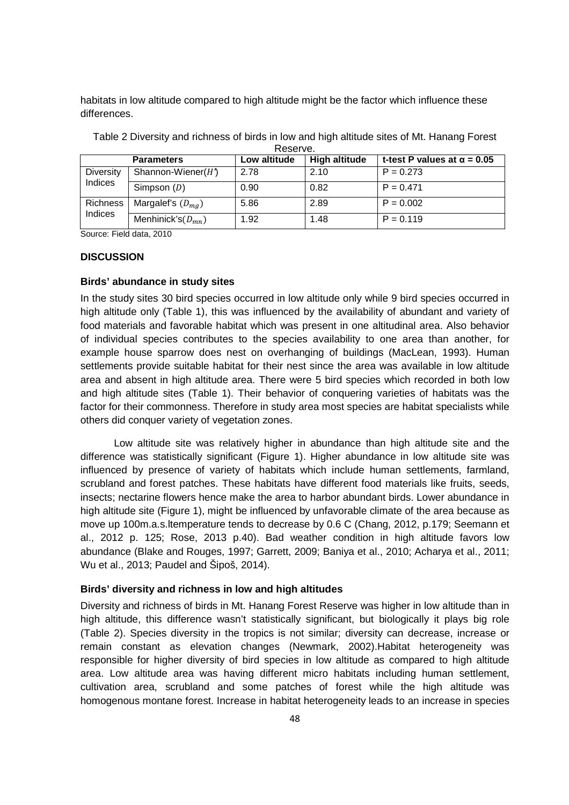habitats in low altitude compared to high altitude might be the factor which influence these differences.

| IVESEIVE.        |                                                      |              |                      |                                    |  |  |  |
|------------------|------------------------------------------------------|--------------|----------------------|------------------------------------|--|--|--|
|                  | <b>Parameters</b>                                    | Low altitude | <b>High altitude</b> | t-test P values at $\alpha = 0.05$ |  |  |  |
| <b>Diversity</b> | Shannon-Wiener( $H$ <sup><math>\prime</math></sup> ) | 2.78         | 2.10                 | $P = 0.273$                        |  |  |  |
| Indices          | Simpson $(D)$                                        | 0.90         | 0.82                 | $P = 0.471$                        |  |  |  |
| Richness         | Margalef's $(D_{ma})$                                | 5.86         | 2.89                 | $P = 0.002$                        |  |  |  |
| <b>Indices</b>   | Menhinick's $(D_{mn})$                               | 1.92         | 1.48                 | $P = 0.119$                        |  |  |  |

Table 2 Diversity and richness of birds in low and high altitude sites of Mt. Hanang Forest Reserve.

Source: Field data, 2010

#### **DISCUSSION**

#### **Birds' abundance in study sites**

In the study sites 30 bird species occurred in low altitude only while 9 bird species occurred in high altitude only (Table 1), this was influenced by the availability of abundant and variety of food materials and favorable habitat which was present in one altitudinal area. Also behavior of individual species contributes to the species availability to one area than another, for example house sparrow does nest on overhanging of buildings (MacLean, 1993). Human settlements provide suitable habitat for their nest since the area was available in low altitude area and absent in high altitude area. There were 5 bird species which recorded in both low and high altitude sites (Table 1). Their behavior of conquering varieties of habitats was the factor for their commonness. Therefore in study area most species are habitat specialists while others did conquer variety of vegetation zones.

Low altitude site was relatively higher in abundance than high altitude site and the difference was statistically significant (Figure 1). Higher abundance in low altitude site was influenced by presence of variety of habitats which include human settlements, farmland, scrubland and forest patches. These habitats have different food materials like fruits, seeds, insects; nectarine flowers hence make the area to harbor abundant birds. Lower abundance in high altitude site (Figure 1), might be influenced by unfavorable climate of the area because as move up 100m.a.s.ltemperature tends to decrease by 0.6 C (Chang, 2012, p.179; Seemann et al., 2012 p. 125; Rose, 2013 p.40). Bad weather condition in high altitude favors low abundance (Blake and Rouges, 1997; Garrett, 2009; Baniya et al., 2010; Acharya et al., 2011; Wu et al., 2013; Paudel and Šipoš, 2014).

#### **Birds' diversity and richness in low and high altitudes**

Diversity and richness of birds in Mt. Hanang Forest Reserve was higher in low altitude than in high altitude, this difference wasn't statistically significant, but biologically it plays big role (Table 2). Species diversity in the tropics is not similar; diversity can decrease, increase or remain constant as elevation changes (Newmark, 2002).Habitat heterogeneity was responsible for higher diversity of bird species in low altitude as compared to high altitude area. Low altitude area was having different micro habitats including human settlement, cultivation area, scrubland and some patches of forest while the high altitude was homogenous montane forest. Increase in habitat heterogeneity leads to an increase in species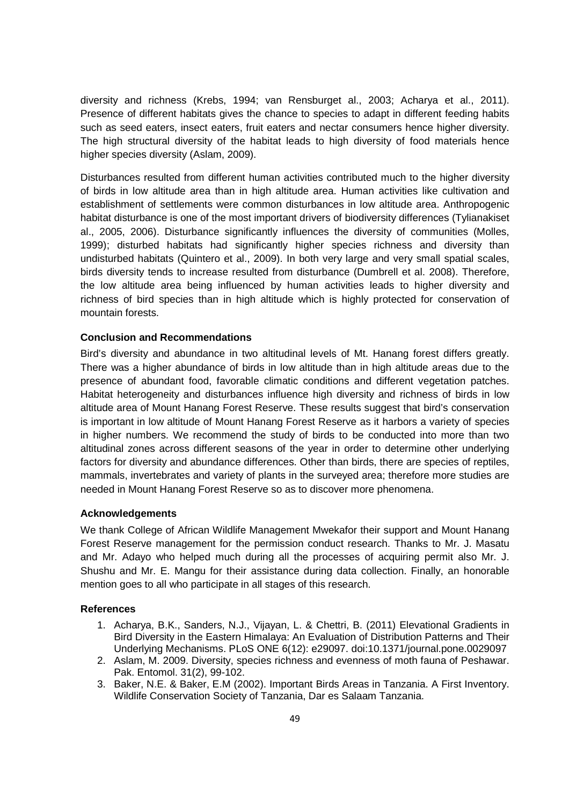diversity and richness (Krebs, 1994; van Rensburget al., 2003; Acharya et al., 2011). Presence of different habitats gives the chance to species to adapt in different feeding habits such as seed eaters, insect eaters, fruit eaters and nectar consumers hence higher diversity. The high structural diversity of the habitat leads to high diversity of food materials hence higher species diversity (Aslam, 2009).

Disturbances resulted from different human activities contributed much to the higher diversity of birds in low altitude area than in high altitude area. Human activities like cultivation and establishment of settlements were common disturbances in low altitude area. Anthropogenic habitat disturbance is one of the most important drivers of biodiversity differences (Tylianakiset al., 2005, 2006). Disturbance significantly influences the diversity of communities (Molles, 1999); disturbed habitats had significantly higher species richness and diversity than undisturbed habitats (Quintero et al., 2009). In both very large and very small spatial scales, birds diversity tends to increase resulted from disturbance (Dumbrell et al. 2008). Therefore, the low altitude area being influenced by human activities leads to higher diversity and richness of bird species than in high altitude which is highly protected for conservation of mountain forests.

### **Conclusion and Recommendations**

Bird's diversity and abundance in two altitudinal levels of Mt. Hanang forest differs greatly. There was a higher abundance of birds in low altitude than in high altitude areas due to the presence of abundant food, favorable climatic conditions and different vegetation patches. Habitat heterogeneity and disturbances influence high diversity and richness of birds in low altitude area of Mount Hanang Forest Reserve. These results suggest that bird's conservation is important in low altitude of Mount Hanang Forest Reserve as it harbors a variety of species in higher numbers. We recommend the study of birds to be conducted into more than two altitudinal zones across different seasons of the year in order to determine other underlying factors for diversity and abundance differences. Other than birds, there are species of reptiles, mammals, invertebrates and variety of plants in the surveyed area; therefore more studies are needed in Mount Hanang Forest Reserve so as to discover more phenomena.

## **Acknowledgements**

We thank College of African Wildlife Management Mwekafor their support and Mount Hanang Forest Reserve management for the permission conduct research. Thanks to Mr. J. Masatu and Mr. Adayo who helped much during all the processes of acquiring permit also Mr. J. Shushu and Mr. E. Mangu for their assistance during data collection. Finally, an honorable mention goes to all who participate in all stages of this research.

#### **References**

- 1. Acharya, B.K., Sanders, N.J., Vijayan, L. & Chettri, B. (2011) Elevational Gradients in Bird Diversity in the Eastern Himalaya: An Evaluation of Distribution Patterns and Their Underlying Mechanisms. PLoS ONE 6(12): e29097. doi:10.1371/journal.pone.0029097
- 2. Aslam, M. 2009. Diversity, species richness and evenness of moth fauna of Peshawar. Pak. Entomol. 31(2), 99-102.
- 3. Baker, N.E. & Baker, E.M (2002). Important Birds Areas in Tanzania. A First Inventory. Wildlife Conservation Society of Tanzania, Dar es Salaam Tanzania.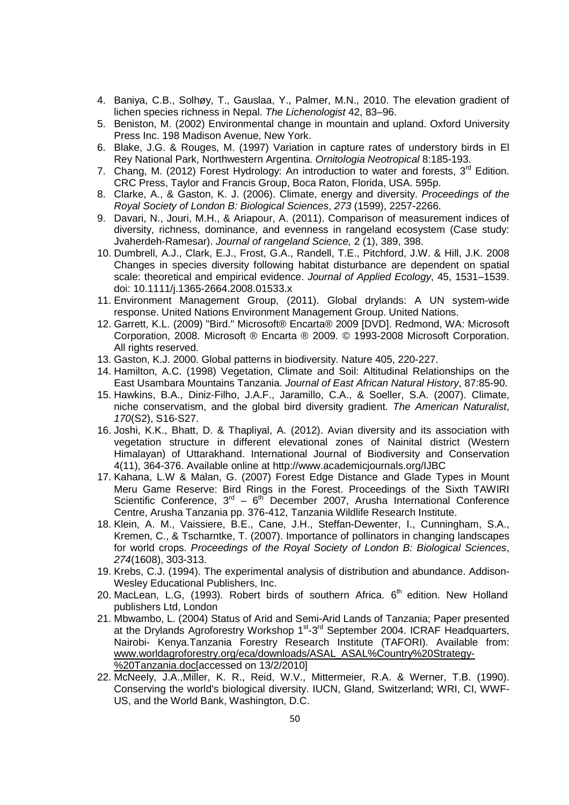- 4. Baniya, C.B., Solhøy, T., Gauslaa, Y., Palmer, M.N., 2010. The elevation gradient of lichen species richness in Nepal. The Lichenologist 42, 83–96.
- 5. Beniston, M. (2002) Environmental change in mountain and upland. Oxford University Press Inc. 198 Madison Avenue, New York.
- 6. Blake, J.G. & Rouges, M. (1997) Variation in capture rates of understory birds in El Rey National Park, Northwestern Argentina. Ornitologia Neotropical 8:185-193.
- 7. Chang, M. (2012) Forest Hydrology: An introduction to water and forests,  $3<sup>rd</sup>$  Edition. CRC Press, Taylor and Francis Group, Boca Raton, Florida, USA. 595p.
- 8. Clarke, A., & Gaston, K. J. (2006). Climate, energy and diversity. Proceedings of the Royal Society of London B: Biological Sciences, 273 (1599), 2257-2266.
- 9. Davari, N., Jouri, M.H., & Ariapour, A. (2011). Comparison of measurement indices of diversity, richness, dominance, and evenness in rangeland ecosystem (Case study: Jvaherdeh-Ramesar). Journal of rangeland Science, 2 (1), 389, 398.
- 10. Dumbrell, A.J., Clark, E.J., Frost, G.A., Randell, T.E., Pitchford, J.W. & Hill, J.K. 2008 Changes in species diversity following habitat disturbance are dependent on spatial scale: theoretical and empirical evidence. Journal of Applied Ecology, 45, 1531-1539. doi: 10.1111/j.1365-2664.2008.01533.x
- 11. Environment Management Group, (2011). Global drylands: A UN system-wide response. United Nations Environment Management Group. United Nations.
- 12. Garrett, K.L. (2009) "Bird." Microsoft® Encarta® 2009 [DVD]. Redmond, WA: Microsoft Corporation, 2008. Microsoft ® Encarta ® 2009. © 1993-2008 Microsoft Corporation. All rights reserved.
- 13. Gaston, K.J. 2000. Global patterns in biodiversity. Nature 405, 220-227.
- 14. Hamilton, A.C. (1998) Vegetation, Climate and Soil: Altitudinal Relationships on the East Usambara Mountains Tanzania. Journal of East African Natural History, 87:85-90.
- 15. Hawkins, B.A., Diniz‐Filho, J.A.F., Jaramillo, C.A., & Soeller, S.A. (2007). Climate, niche conservatism, and the global bird diversity gradient. The American Naturalist, 170(S2), S16-S27.
- 16. Joshi, K.K., Bhatt, D. & Thapliyal, A. (2012). Avian diversity and its association with vegetation structure in different elevational zones of Nainital district (Western Himalayan) of Uttarakhand. International Journal of Biodiversity and Conservation 4(11), 364-376. Available online at http://www.academicjournals.org/IJBC
- 17. Kahana, L.W & Malan, G. (2007) Forest Edge Distance and Glade Types in Mount Meru Game Reserve: Bird Rings in the Forest. Proceedings of the Sixth TAWIRI Scientific Conference,  $3^{rd}$  –  $6^{th}$  December 2007, Arusha International Conference Centre, Arusha Tanzania pp. 376-412, Tanzania Wildlife Research Institute.
- 18. Klein, A. M., Vaissiere, B.E., Cane, J.H., Steffan-Dewenter, I., Cunningham, S.A., Kremen, C., & Tscharntke, T. (2007). Importance of pollinators in changing landscapes for world crops. Proceedings of the Royal Society of London B: Biological Sciences, 274(1608), 303-313.
- 19. Krebs, C.J. (1994). The experimental analysis of distribution and abundance. Addison-Wesley Educational Publishers, Inc.
- 20. MacLean, L.G. (1993). Robert birds of southern Africa.  $6<sup>th</sup>$  edition. New Holland publishers Ltd, London
- 21. Mbwambo, L. (2004) Status of Arid and Semi-Arid Lands of Tanzania; Paper presented at the Drylands Agroforestry Workshop 1<sup>st</sup>-3<sup>rd</sup> September 2004. ICRAF Headquarters, Nairobi- Kenya.Tanzania Forestry Research Institute (TAFORI). Available from: www.worldagroforestry.org/eca/downloads/ASAL\_ASAL%Country%20Strategy- %20Tanzania.doc[accessed on 13/2/2010]
- 22. McNeely, J.A.,Miller, K. R., Reid, W.V., Mittermeier, R.A. & Werner, T.B. (1990). Conserving the world's biological diversity. IUCN, Gland, Switzerland; WRI, CI, WWF-US, and the World Bank, Washington, D.C.